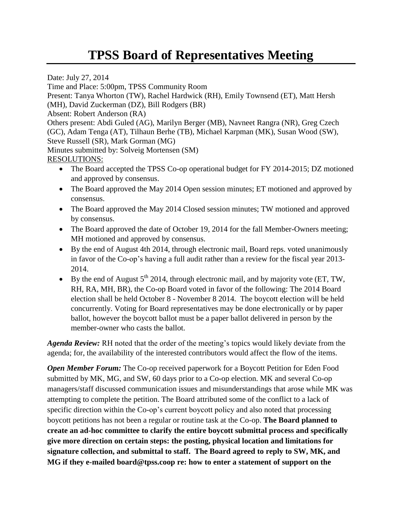## **TPSS Board of Representatives Meeting**

Date: July 27, 2014

Time and Place: 5:00pm, TPSS Community Room Present: Tanya Whorton (TW), Rachel Hardwick (RH), Emily Townsend (ET), Matt Hersh (MH), David Zuckerman (DZ), Bill Rodgers (BR) Absent: Robert Anderson (RA) Others present: Abdi Guled (AG), Marilyn Berger (MB), Navneet Rangra (NR), Greg Czech (GC), Adam Tenga (AT), Tilhaun Berhe (TB), Michael Karpman (MK), Susan Wood (SW), Steve Russell (SR), Mark Gorman (MG) Minutes submitted by: Solveig Mortensen (SM) RESOLUTIONS: • The Board accepted the TPSS Co-op operational budget for FY 2014-2015; DZ motioned and approved by consensus.

- The Board approved the May 2014 Open session minutes; ET motioned and approved by consensus.
- The Board approved the May 2014 Closed session minutes; TW motioned and approved by consensus.
- The Board approved the date of October 19, 2014 for the fall Member-Owners meeting; MH motioned and approved by consensus.
- By the end of August 4th 2014, through electronic mail, Board reps. voted unanimously in favor of the Co-op's having a full audit rather than a review for the fiscal year 2013- 2014.
- By the end of August  $5^{th}$  2014, through electronic mail, and by majority vote (ET, TW, RH, RA, MH, BR), the Co-op Board voted in favor of the following: The 2014 Board election shall be held October 8 - November 8 2014. The boycott election will be held concurrently. Voting for Board representatives may be done electronically or by paper ballot, however the boycott ballot must be a paper ballot delivered in person by the member-owner who casts the ballot.

*Agenda Review:* RH noted that the order of the meeting's topics would likely deviate from the agenda; for, the availability of the interested contributors would affect the flow of the items.

*Open Member Forum:* The Co-op received paperwork for a Boycott Petition for Eden Food submitted by MK, MG, and SW, 60 days prior to a Co-op election. MK and several Co-op managers/staff discussed communication issues and misunderstandings that arose while MK was attempting to complete the petition. The Board attributed some of the conflict to a lack of specific direction within the Co-op's current boycott policy and also noted that processing boycott petitions has not been a regular or routine task at the Co-op. **The Board planned to create an ad-hoc committee to clarify the entire boycott submittal process and specifically give more direction on certain steps: the posting, physical location and limitations for signature collection, and submittal to staff. The Board agreed to reply to SW, MK, and MG if they e-mailed board@tpss.coop re: how to enter a statement of support on the**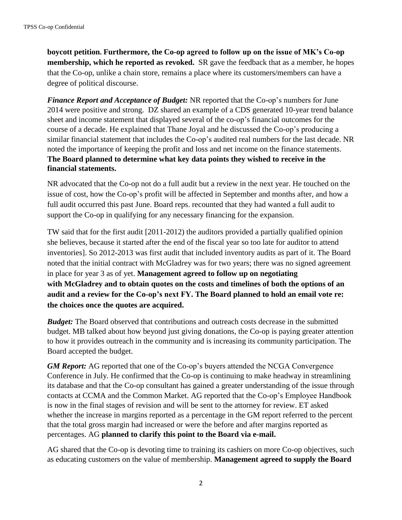**boycott petition. Furthermore, the Co-op agreed to follow up on the issue of MK's Co-op membership, which he reported as revoked.** SR gave the feedback that as a member, he hopes that the Co-op, unlike a chain store, remains a place where its customers/members can have a degree of political discourse.

*Finance Report and Acceptance of Budget:* NR reported that the Co-op's numbers for June 2014 were positive and strong. DZ shared an example of a CDS generated 10-year trend balance sheet and income statement that displayed several of the co-op's financial outcomes for the course of a decade. He explained that Thane Joyal and he discussed the Co-op's producing a similar financial statement that includes the Co-op's audited real numbers for the last decade. NR noted the importance of keeping the profit and loss and net income on the finance statements. **The Board planned to determine what key data points they wished to receive in the financial statements.** 

NR advocated that the Co-op not do a full audit but a review in the next year. He touched on the issue of cost, how the Co-op's profit will be affected in September and months after, and how a full audit occurred this past June. Board reps. recounted that they had wanted a full audit to support the Co-op in qualifying for any necessary financing for the expansion.

TW said that for the first audit [2011-2012) the auditors provided a partially qualified opinion she believes, because it started after the end of the fiscal year so too late for auditor to attend inventories]. So 2012-2013 was first audit that included inventory audits as part of it. The Board noted that the initial contract with McGladrey was for two years; there was no signed agreement in place for year 3 as of yet. **Management agreed to follow up on negotiating with McGladrey and to obtain quotes on the costs and timelines of both the options of an audit and a review for the Co-op's next FY. The Board planned to hold an email vote re: the choices once the quotes are acquired.**

*Budget:* The Board observed that contributions and outreach costs decrease in the submitted budget. MB talked about how beyond just giving donations, the Co-op is paying greater attention to how it provides outreach in the community and is increasing its community participation. The Board accepted the budget.

*GM Report:* AG reported that one of the Co-op's buyers attended the NCGA Convergence Conference in July. He confirmed that the Co-op is continuing to make headway in streamlining its database and that the Co-op consultant has gained a greater understanding of the issue through contacts at CCMA and the Common Market. AG reported that the Co-op's Employee Handbook is now in the final stages of revision and will be sent to the attorney for review. ET asked whether the increase in margins reported as a percentage in the GM report referred to the percent that the total gross margin had increased or were the before and after margins reported as percentages. AG **planned to clarify this point to the Board via e-mail.** 

AG shared that the Co-op is devoting time to training its cashiers on more Co-op objectives, such as educating customers on the value of membership. **Management agreed to supply the Board**